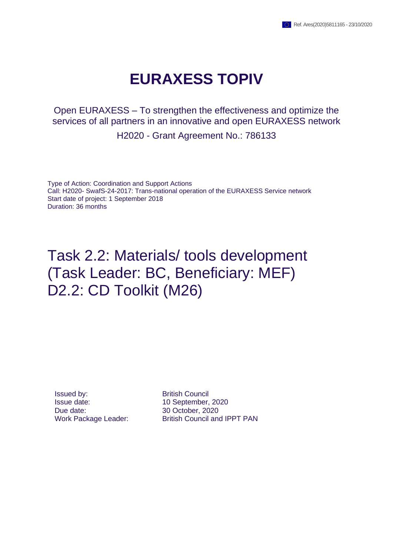## **EURAXESS TOPIV**

Open EURAXESS – To strengthen the effectiveness and optimize the services of all partners in an innovative and open EURAXESS network

H2020 - Grant Agreement No.: 786133

Type of Action: Coordination and Support Actions Call: H2020- SwafS-24-2017: Trans-national operation of the EURAXESS Service network Start date of project: 1 September 2018 Duration: 36 months

## Task 2.2: Materials/ tools development (Task Leader: BC, Beneficiary: MEF) D2.2: CD Toolkit (M26)

**Issued by:** British Council Issue date: 10 September, 2020 Due date: 30 October, 2020

Work Package Leader: British Council and IPPT PAN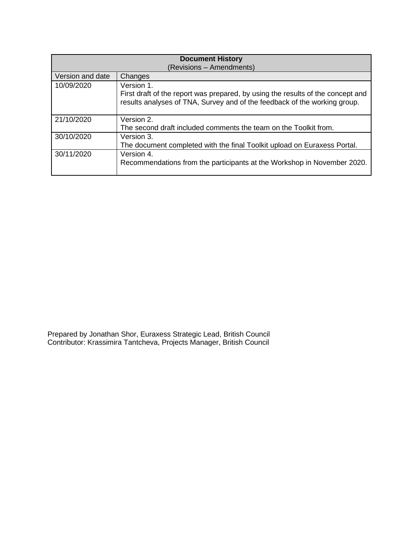| <b>Document History</b>  |                                                                                                                                                                            |  |  |  |  |
|--------------------------|----------------------------------------------------------------------------------------------------------------------------------------------------------------------------|--|--|--|--|
| (Revisions - Amendments) |                                                                                                                                                                            |  |  |  |  |
| Version and date         | Changes                                                                                                                                                                    |  |  |  |  |
| 10/09/2020               | Version 1.<br>First draft of the report was prepared, by using the results of the concept and<br>results analyses of TNA, Survey and of the feedback of the working group. |  |  |  |  |
| 21/10/2020               | Version 2.<br>The second draft included comments the team on the Toolkit from.                                                                                             |  |  |  |  |
| 30/10/2020               | Version 3.<br>The document completed with the final Toolkit upload on Euraxess Portal.                                                                                     |  |  |  |  |
| 30/11/2020               | Version 4.<br>Recommendations from the participants at the Workshop in November 2020.                                                                                      |  |  |  |  |

Prepared by Jonathan Shor, Euraxess Strategic Lead, British Council Contributor: Krassimira Tantcheva, Projects Manager, British Council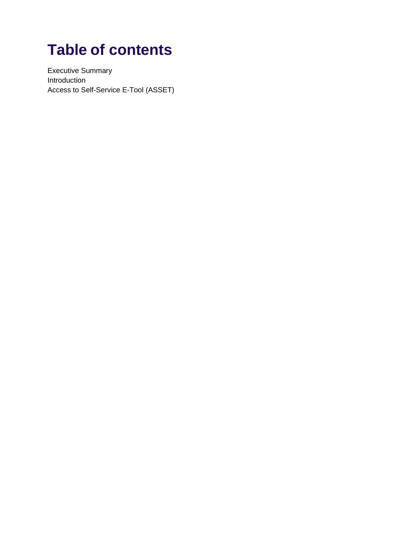# **Table of contents**

Executive Summary Introduction Access to Self-Service E-Tool (ASSET)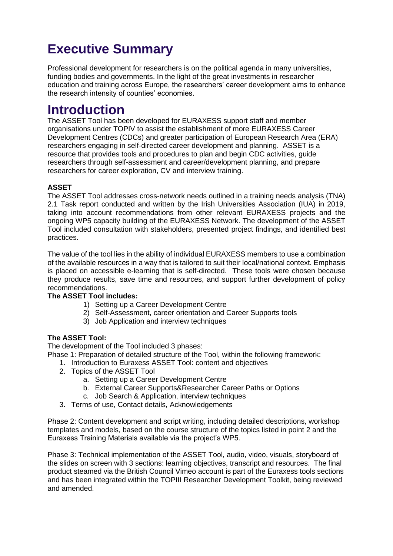## **Executive Summary**

Professional development for researchers is on the political agenda in many universities, funding bodies and governments. In the light of the great investments in researcher education and training across Europe, the researchers' career development aims to enhance the research intensity of counties' economies.

### **Introduction**

The ASSET Tool has been developed for EURAXESS support staff and member organisations under TOPIV to assist the establishment of more EURAXESS Career Development Centres (CDCs) and greater participation of European Research Area (ERA) researchers engaging in self-directed career development and planning. ASSET is a resource that provides tools and procedures to plan and begin CDC activities, guide researchers through self-assessment and career/development planning, and prepare researchers for career exploration, CV and interview training.

#### **ASSET**

The ASSET Tool addresses cross-network needs outlined in a training needs analysis (TNA) 2.1 Task report conducted and written by the Irish Universities Association (IUA) in 2019, taking into account recommendations from other relevant EURAXESS projects and the ongoing WP5 capacity building of the EURAXESS Network. The development of the ASSET Tool included consultation with stakeholders, presented project findings, and identified best practices.

The value of the tool lies in the ability of individual EURAXESS members to use a combination of the available resources in a way that is tailored to suit their local/national context. Emphasis is placed on accessible e-learning that is self-directed. These tools were chosen because they produce results, save time and resources, and support further development of policy recommendations.

#### **The ASSET Tool includes:**

- 1) Setting up a Career Development Centre
- 2) Self-Assessment, career orientation and Career Supports tools
- 3) Job Application and interview techniques

#### **The ASSET Tool:**

The development of the Tool included 3 phases:

Phase 1: Preparation of detailed structure of the Tool, within the following framework:

- 1. Introduction to Euraxess ASSET Tool: content and objectives
- 2. Topics of the ASSET Tool
	- a. Setting up a Career Development Centre
	- b. External Career Supports&Researcher Career Paths or Options
	- c. Job Search & Application, interview techniques
- 3. Terms of use, Contact details, Acknowledgements

Phase 2: Content development and script writing, including detailed descriptions, workshop templates and models, based on the course structure of the topics listed in point 2 and the Euraxess Training Materials available via the project's WP5.

Phase 3: Technical implementation of the ASSET Tool, audio, video, visuals, storyboard of the slides on screen with 3 sections: learning objectives, transcript and resources. The final product steamed via the British Council Vimeo account is part of the Euraxess tools sections and has been integrated within the TOPIII Researcher Development Toolkit, being reviewed and amended.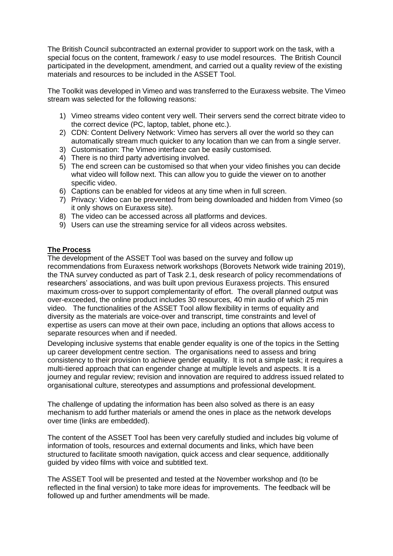The British Council subcontracted an external provider to support work on the task, with a special focus on the content, framework / easy to use model resources. The British Council participated in the development, amendment, and carried out a quality review of the existing materials and resources to be included in the ASSET Tool.

The Toolkit was developed in Vimeo and was transferred to the Euraxess website. The Vimeo stream was selected for the following reasons:

- 1) Vimeo streams video content very well. Their servers send the correct bitrate video to the correct device (PC, laptop, tablet, phone etc.).
- 2) CDN: Content Delivery Network: Vimeo has servers all over the world so they can automatically stream much quicker to any location than we can from a single server.
- 3) Customisation: The Vimeo interface can be easily customised.
- 4) There is no third party advertising involved.
- 5) The end screen can be customised so that when your video finishes you can decide what video will follow next. This can allow you to guide the viewer on to another specific video.
- 6) Captions can be enabled for videos at any time when in full screen.
- 7) Privacy: Video can be prevented from being downloaded and hidden from Vimeo (so it only shows on Euraxess site).
- 8) The video can be accessed across all platforms and devices.
- 9) Users can use the streaming service for all videos across websites.

#### **The Process**

The development of the ASSET Tool was based on the survey and follow up recommendations from Euraxess network workshops (Borovets Network wide training 2019), the TNA survey conducted as part of Task 2.1, desk research of policy recommendations of researchers' associations, and was built upon previous Euraxess projects. This ensured maximum cross-over to support complementarity of effort. The overall planned output was over-exceeded, the online product includes 30 resources, 40 min audio of which 25 min video. The functionalities of the ASSET Tool allow flexibility in terms of equality and diversity as the materials are voice-over and transcript, time constraints and level of expertise as users can move at their own pace, including an options that allows access to separate resources when and if needed.

Developing inclusive systems that enable gender equality is one of the topics in the Setting up career development centre section. The organisations need to assess and bring consistency to their provision to achieve gender equality. It is not a simple task; it requires a multi-tiered approach that can engender change at multiple levels and aspects. It is a journey and regular review; revision and innovation are required to address issued related to organisational culture, stereotypes and assumptions and professional development.

The challenge of updating the information has been also solved as there is an easy mechanism to add further materials or amend the ones in place as the network develops over time (links are embedded).

The content of the ASSET Tool has been very carefully studied and includes big volume of information of tools, resources and external documents and links, which have been structured to facilitate smooth navigation, quick access and clear sequence, additionally guided by video films with voice and subtitled text.

The ASSET Tool will be presented and tested at the November workshop and (to be reflected in the final version) to take more ideas for improvements. The feedback will be followed up and further amendments will be made.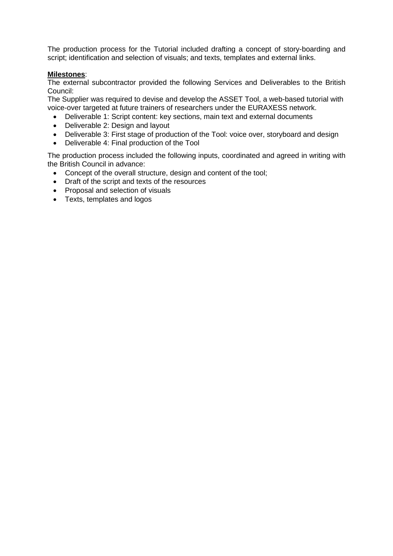The production process for the Tutorial included drafting a concept of story-boarding and script; identification and selection of visuals; and texts, templates and external links.

#### **Milestones**:

The external subcontractor provided the following Services and Deliverables to the British Council:

The Supplier was required to devise and develop the ASSET Tool, a web-based tutorial with voice-over targeted at future trainers of researchers under the [EURAXESS](https://euraxess.ec.europa.eu/) network.

- Deliverable 1: Script content: key sections, main text and external documents
- Deliverable 2: Design and layout
- Deliverable 3: First stage of production of the Tool: voice over, storyboard and design
- Deliverable 4: Final production of the Tool

The production process included the following inputs, coordinated and agreed in writing with the British Council in advance:

- Concept of the overall structure, design and content of the tool;
- Draft of the script and texts of the resources
- Proposal and selection of visuals
- Texts, templates and logos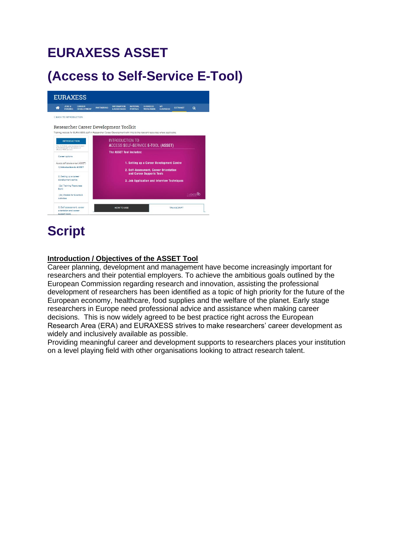## **EURAXESS ASSET**

## **(Access to Self-Service E-Tool)**



## **Script**

#### **Introduction / Objectives of the ASSET Tool**

Career planning, development and management have become increasingly important for researchers and their potential employers. To achieve the ambitious goals outlined by the European Commission regarding research and innovation, assisting the professional development of researchers has been identified as a topic of high priority for the future of the European economy, healthcare, food supplies and the welfare of the planet. Early stage researchers in Europe need professional advice and assistance when making career decisions. This is now widely agreed to be best practice right across the European Research Area (ERA) and EURAXESS strives to make researchers' career development as widely and inclusively available as possible.

Providing meaningful career and development supports to researchers places your institution on a level playing field with other organisations looking to attract research talent.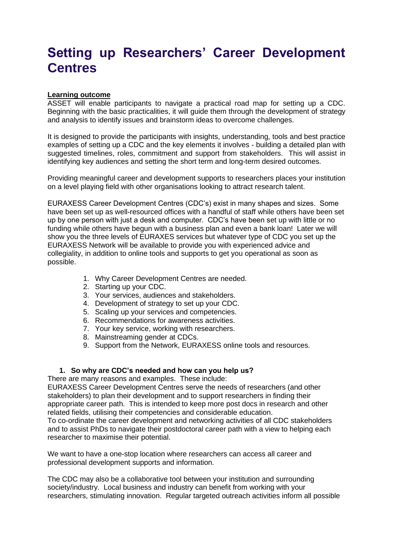### **Setting up Researchers' Career Development Centres**

#### **Learning outcome**

ASSET will enable participants to navigate a practical road map for setting up a CDC. Beginning with the basic practicalities, it will guide them through the development of strategy and analysis to identify issues and brainstorm ideas to overcome challenges.

It is designed to provide the participants with insights, understanding, tools and best practice examples of setting up a CDC and the key elements it involves - building a detailed plan with suggested timelines, roles, commitment and support from stakeholders. This will assist in identifying key audiences and setting the short term and long-term desired outcomes.

Providing meaningful career and development supports to researchers places your institution on a level playing field with other organisations looking to attract research talent.

EURAXESS Career Development Centres (CDC's) exist in many shapes and sizes. Some have been set up as well-resourced offices with a handful of staff while others have been set up by one person with just a desk and computer. CDC's have been set up with little or no funding while others have begun with a business plan and even a bank loan! Later we will show you the three levels of EURAXES services but whatever type of CDC you set up the EURAXESS Network will be available to provide you with experienced advice and collegiality, in addition to online tools and supports to get you operational as soon as possible.

- 1. Why Career Development Centres are needed.
- 2. Starting up your CDC.
- 3. Your services, audiences and stakeholders.
- 4. Development of strategy to set up your CDC.
- 5. Scaling up your services and competencies.
- 6. Recommendations for awareness activities.
- 7. Your key service, working with researchers.
- 8. Mainstreaming gender at CDCs.
- 9. Support from the Network, EURAXESS online tools and resources.

### **1. So why are CDC's needed and how can you help us?**

There are many reasons and examples. These include:

EURAXESS Career Development Centres serve the needs of researchers (and other stakeholders) to plan their development and to support researchers in finding their appropriate career path. This is intended to keep more post docs in research and other related fields, utilising their competencies and considerable education.

To co-ordinate the career development and networking activities of all CDC stakeholders and to assist PhDs to navigate their postdoctoral career path with a view to helping each researcher to maximise their potential.

We want to have a one-stop location where researchers can access all career and professional development supports and information.

The CDC may also be a collaborative tool between your institution and surrounding society/industry. Local business and industry can benefit from working with your researchers, stimulating innovation. Regular targeted outreach activities inform all possible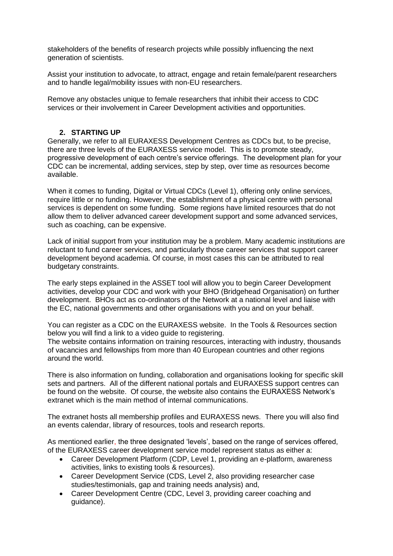stakeholders of the benefits of research projects while possibly influencing the next generation of scientists.

Assist your institution to advocate, to attract, engage and retain female/parent researchers and to handle legal/mobility issues with non-EU researchers.

Remove any obstacles unique to female researchers that inhibit their access to CDC services or their involvement in Career Development activities and opportunities.

#### **2. STARTING UP**

Generally, we refer to all EURAXESS Development Centres as CDCs but, to be precise, there are three levels of the EURAXESS service model. This is to promote steady, progressive development of each centre's service offerings. The development plan for your CDC can be incremental, adding services, step by step, over time as resources become available.

When it comes to funding, Digital or Virtual CDCs (Level 1), offering only online services, require little or no funding. However, the establishment of a physical centre with personal services is dependent on some funding. Some regions have limited resources that do not allow them to deliver advanced career development support and some advanced services, such as coaching, can be expensive.

Lack of initial support from your institution may be a problem. Many academic institutions are reluctant to fund career services, and particularly those career services that support career development beyond academia. Of course, in most cases this can be attributed to real budgetary constraints.

The early steps explained in the ASSET tool will allow you to begin Career Development activities, develop your CDC and work with your BHO (Bridgehead Organisation) on further development. BHOs act as co-ordinators of the Network at a national level and liaise with the EC, national governments and other organisations with you and on your behalf.

You can register as a CDC on the EURAXESS website. In the Tools & Resources section below you will find a link to a video guide to registering.

The website contains information on training resources, interacting with industry, thousands of vacancies and fellowships from more than 40 European countries and other regions around the world.

There is also information on funding, collaboration and organisations looking for specific skill sets and partners. All of the different national portals and EURAXESS support centres can be found on the website. Of course, the website also contains the EURAXESS Network's extranet which is the main method of internal communications.

The extranet hosts all membership profiles and EURAXESS news. There you will also find an events calendar, library of resources, tools and research reports.

As mentioned earlier, the three designated 'levels', based on the range of services offered, of the EURAXESS career development service model represent status as either a:

- Career Development Platform (CDP, Level 1, providing an e-platform, awareness activities, links to existing tools & resources).
- Career Development Service (CDS, Level 2, also providing researcher case studies/testimonials, gap and training needs analysis) and,
- Career Development Centre (CDC, Level 3, providing career coaching and guidance).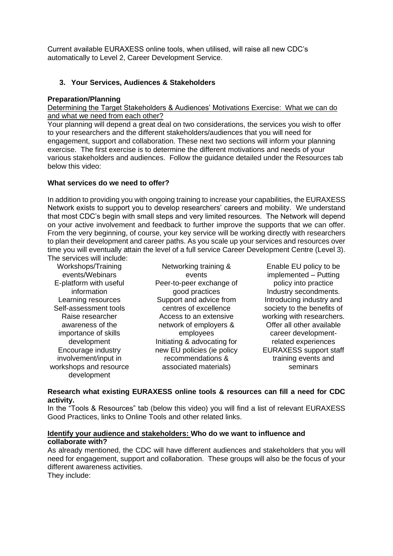Current available EURAXESS online tools, when utilised, will raise all new CDC's automatically to Level 2, Career Development Service.

#### **3. Your Services, Audiences & Stakeholders**

#### **Preparation/Planning**

Determining the Target Stakeholders & Audiences' Motivations Exercise: What we can do and what we need from each other?

Your planning will depend a great deal on two considerations, the services you wish to offer to your researchers and the different stakeholders/audiences that you will need for engagement, support and collaboration. These next two sections will inform your planning exercise. The first exercise is to determine the different motivations and needs of your various stakeholders and audiences. Follow the guidance detailed under the Resources tab below this video:

#### **What services do we need to offer?**

In addition to providing you with ongoing training to increase your capabilities, the EURAXESS Network exists to support you to develop researchers' careers and mobility. We understand that most CDC's begin with small steps and very limited resources. The Network will depend on your active involvement and feedback to further improve the supports that we can offer. From the very beginning, of course, your key service will be working directly with researchers to plan their development and career paths. As you scale up your services and resources over time you will eventually attain the level of a full service Career Development Centre (Level 3). The services will include:

Workshops/Training events/Webinars E-platform with useful information Learning resources Self-assessment tools Raise researcher awareness of the importance of skills development Encourage industry involvement/input in workshops and resource development

Networking training & events Peer-to-peer exchange of good practices Support and advice from centres of excellence Access to an extensive network of employers & employees Initiating & advocating for new EU policies (ie policy recommendations & associated materials)

Enable EU policy to be implemented – Putting policy into practice Industry secondments. Introducing industry and society to the benefits of working with researchers. Offer all other available career developmentrelated experiences EURAXESS support staff training events and seminars

#### **Research what existing EURAXESS online tools & resources can fill a need for CDC activity.**

In the "Tools & Resources" tab (below this video) you will find a list of relevant EURAXESS Good Practices, links to Online Tools and other related links.

#### **Identify your audience and stakeholders: Who do we want to influence and collaborate with?**

As already mentioned, the CDC will have different audiences and stakeholders that you will need for engagement, support and collaboration. These groups will also be the focus of your different awareness activities.

They include: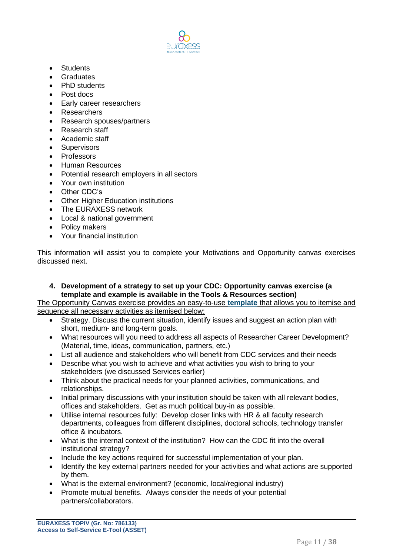

- Students
- Graduates
- PhD students
- Post docs
- Early career researchers
- Researchers
- Research spouses/partners
- Research staff
- Academic staff
- Supervisors
- Professors
- Human Resources
- Potential research employers in all sectors
- Your own institution
- Other CDC's
- Other Higher Education institutions
- The EURAXESS network
- Local & national government
- Policy makers
- Your financial institution

This information will assist you to complete your Motivations and Opportunity canvas exercises discussed next.

**4. Development of a strategy to set up your CDC: Opportunity canvas exercise (a template and example is available in the Tools & Resources section)**

The Opportunity Canvas exercise provides an easy-to-use **[template](https://drive.google.com/file/d/1Km2_d2Njf7KrT9JF8BuBNm0nhxQeYzUL/view?usp=sharing)** that allows you to itemise and sequence all necessary activities as itemised below:

- Strategy. Discuss the current situation, identify issues and suggest an action plan with short, medium- and long-term goals.
- What resources will you need to address all aspects of Researcher Career Development? (Material, time, ideas, communication, partners, etc.)
- List all audience and stakeholders who will benefit from CDC services and their needs
- Describe what you wish to achieve and what activities you wish to bring to your stakeholders (we discussed Services earlier)
- Think about the practical needs for your planned activities, communications, and relationships.
- Initial primary discussions with your institution should be taken with all relevant bodies, offices and stakeholders. Get as much political buy-in as possible.
- Utilise internal resources fully: Develop closer links with HR & all faculty research departments, colleagues from different disciplines, doctoral schools, technology transfer office & incubators.
- What is the internal context of the institution? How can the CDC fit into the overall institutional strategy?
- Include the key actions required for successful implementation of your plan.
- Identify the key external partners needed for your activities and what actions are supported by them.
- What is the external environment? (economic, local/regional industry)
- Promote mutual benefits. Always consider the needs of your potential partners/collaborators.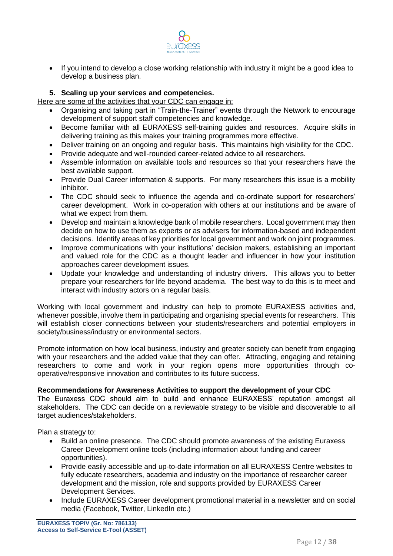

• If you intend to develop a close working relationship with industry it might be a good idea to develop a business plan.

#### **5. Scaling up your services and competencies.**

Here are some of the activities that your CDC can engage in:

- Organising and taking part in "Train-the-Trainer" events through the Network to encourage development of support staff competencies and knowledge.
- Become familiar with all EURAXESS self-training guides and resources. Acquire skills in delivering training as this makes your training programmes more effective.
- Deliver training on an ongoing and regular basis. This maintains high visibility for the CDC.
- Provide adequate and well-rounded career-related advice to all researchers.
- Assemble information on available tools and resources so that your researchers have the best available support.
- Provide Dual Career information & supports. For many researchers this issue is a mobility inhibitor.
- The CDC should seek to influence the agenda and co-ordinate support for researchers' career development. Work in co-operation with others at our institutions and be aware of what we expect from them.
- Develop and maintain a knowledge bank of mobile researchers. Local government may then decide on how to use them as experts or as advisers for information-based and independent decisions. Identify areas of key priorities for local government and work on joint programmes.
- Improve communications with your institutions' decision makers, establishing an important and valued role for the CDC as a thought leader and influencer in how your institution approaches career development issues.
- Update your knowledge and understanding of industry drivers. This allows you to better prepare your researchers for life beyond academia. The best way to do this is to meet and interact with industry actors on a regular basis.

Working with local government and industry can help to promote EURAXESS activities and, whenever possible, involve them in participating and organising special events for researchers. This will establish closer connections between your students/researchers and potential employers in society/business/industry or environmental sectors.

Promote information on how local business, industry and greater society can benefit from engaging with your researchers and the added value that they can offer. Attracting, engaging and retaining researchers to come and work in your region opens more opportunities through cooperative/responsive innovation and contributes to its future success.

#### **Recommendations for Awareness Activities to support the development of your CDC**

The Euraxess CDC should aim to build and enhance EURAXESS' reputation amongst all stakeholders. The CDC can decide on a reviewable strategy to be visible and discoverable to all target audiences/stakeholders.

Plan a strategy to:

- Build an online presence. The CDC should promote awareness of the existing Euraxess Career Development online tools (including information about funding and career opportunities).
- Provide easily accessible and up-to-date information on all EURAXESS Centre websites to fully educate researchers, academia and industry on the importance of researcher career development and the mission, role and supports provided by EURAXESS Career Development Services.
- Include EURAXESS Career development promotional material in a newsletter and on social media (Facebook, Twitter, LinkedIn etc.)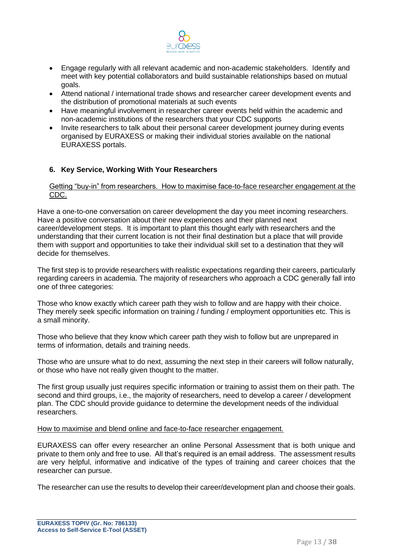

- Engage regularly with all relevant academic and non-academic stakeholders. Identify and meet with key potential collaborators and build sustainable relationships based on mutual goals.
- Attend national / international trade shows and researcher career development events and the distribution of promotional materials at such events
- Have meaningful involvement in researcher career events held within the academic and non-academic institutions of the researchers that your CDC supports
- Invite researchers to talk about their personal career development journey during events organised by EURAXESS or making their individual stories available on the national EURAXESS portals.

#### **6. Key Service, Working With Your Researchers**

#### Getting "buy-in" from researchers. How to maximise face-to-face researcher engagement at the CDC.

Have a one-to-one conversation on career development the day you meet incoming researchers. Have a positive conversation about their new experiences and their planned next career/development steps. It is important to plant this thought early with researchers and the understanding that their current location is not their final destination but a place that will provide them with support and opportunities to take their individual skill set to a destination that they will decide for themselves.

The first step is to provide researchers with realistic expectations regarding their careers, particularly regarding careers in academia. The majority of researchers who approach a CDC generally fall into one of three categories:

Those who know exactly which career path they wish to follow and are happy with their choice. They merely seek specific information on training / funding / employment opportunities etc. This is a small minority.

Those who believe that they know which career path they wish to follow but are unprepared in terms of information, details and training needs.

Those who are unsure what to do next, assuming the next step in their careers will follow naturally, or those who have not really given thought to the matter.

The first group usually just requires specific information or training to assist them on their path. The second and third groups, i.e., the majority of researchers, need to develop a career / development plan. The CDC should provide guidance to determine the development needs of the individual researchers.

#### How to maximise and blend online and face-to-face researcher engagement.

EURAXESS can offer every researcher an online Personal Assessment that is both unique and private to them only and free to use. All that's required is an email address. The assessment results are very helpful, informative and indicative of the types of training and career choices that the researcher can pursue.

The researcher can use the results to develop their career/development plan and choose their goals.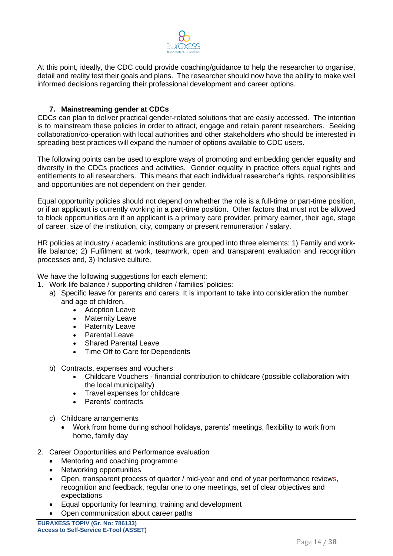

At this point, ideally, the CDC could provide coaching/guidance to help the researcher to organise, detail and reality test their goals and plans. The researcher should now have the ability to make well informed decisions regarding their professional development and career options.

#### **7. Mainstreaming gender at CDCs**

CDCs can plan to deliver practical gender-related solutions that are easily accessed. The intention is to mainstream these policies in order to attract, engage and retain parent researchers. Seeking collaboration/co-operation with local authorities and other stakeholders who should be interested in spreading best practices will expand the number of options available to CDC users.

The following points can be used to explore ways of promoting and embedding gender equality and diversity in the CDCs practices and activities. Gender equality in practice offers equal rights and entitlements to all researchers. This means that each individual researcher's rights, responsibilities and opportunities are not dependent on their gender.

Equal opportunity policies should not depend on whether the role is a full-time or part-time position, or if an applicant is currently working in a part-time position. Other factors that must not be allowed to block opportunities are if an applicant is a primary care provider, primary earner, their age, stage of career, size of the institution, city, company or present remuneration / salary.

HR policies at industry / academic institutions are grouped into three elements: 1) Family and worklife balance; 2) Fulfilment at work, teamwork, open and transparent evaluation and recognition processes and, 3) Inclusive culture.

We have the following suggestions for each element:

- 1. Work-life balance / supporting children / families' policies:
	- a) Specific leave for parents and carers. It is important to take into consideration the number and age of children.
		- Adoption Leave
		- Maternity Leave
		- Paternity Leave
		- Parental Leave
		- Shared Parental Leave
		- Time Off to Care for Dependents
	- b) Contracts, expenses and vouchers
		- Childcare Vouchers financial contribution to childcare (possible collaboration with the local municipality)
		- Travel expenses for childcare
		- Parents' contracts
	- c) Childcare arrangements
		- Work from home during school holidays, parents' meetings, flexibility to work from home, family day
- 2. Career Opportunities and Performance evaluation
	- Mentoring and coaching programme
	- Networking opportunities
	- Open, transparent process of quarter / mid-year and end of year performance reviews, recognition and feedback, regular one to one meetings, set of clear objectives and expectations
	- Equal opportunity for learning, training and development
	- Open communication about career paths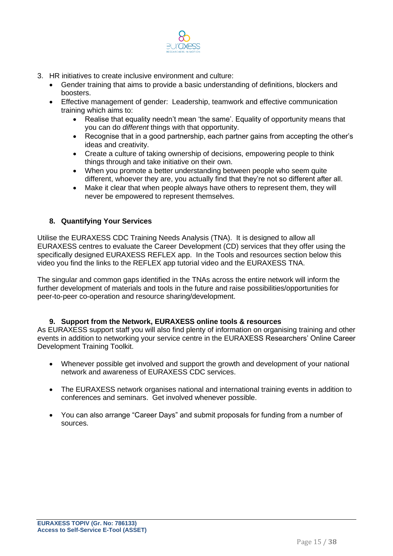

- 3. HR initiatives to create inclusive environment and culture:
	- Gender training that aims to provide a basic understanding of definitions, blockers and boosters.
	- Effective management of gender: Leadership, teamwork and effective communication training which aims to:
		- Realise that equality needn't mean 'the same'. Equality of opportunity means that you can do *different* things with that opportunity.
		- Recognise that in a good partnership, each partner gains from accepting the other's ideas and creativity.
		- Create a culture of taking ownership of decisions, empowering people to think things through and take initiative on their own.
		- When you promote a better understanding between people who seem quite different, whoever they are, you actually find that they're not so different after all.
		- Make it clear that when people always have others to represent them, they will never be empowered to represent themselves.

#### **8. Quantifying Your Services**

Utilise the EURAXESS CDC Training Needs Analysis (TNA). It is designed to allow all EURAXESS centres to evaluate the Career Development (CD) services that they offer using the specifically designed EURAXESS REFLEX app. In the Tools and resources section below this video you find the links to the REFLEX app tutorial video and the EURAXESS TNA.

The singular and common gaps identified in the TNAs across the entire network will inform the further development of materials and tools in the future and raise possibilities/opportunities for peer-to-peer co-operation and resource sharing/development.

#### **9. Support from the Network, EURAXESS online tools & resources**

As EURAXESS support staff you will also find plenty of information on organising training and other events in addition to networking your service centre in the EURAXESS Researchers' Online Career Development Training Toolkit.

- Whenever possible get involved and support the growth and development of your national network and awareness of EURAXESS CDC services.
- The EURAXESS network organises national and international training events in addition to conferences and seminars. Get involved whenever possible.
- You can also arrange "Career Days" and submit proposals for funding from a number of sources.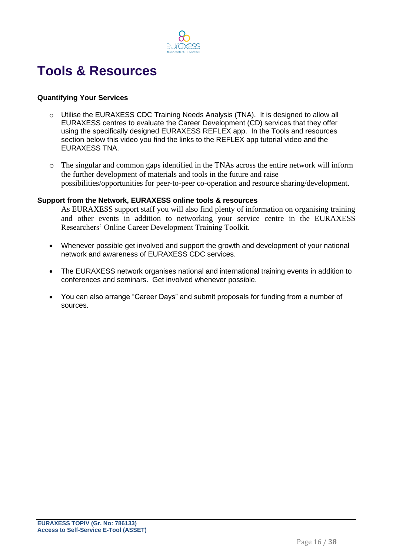

### **Tools & Resources**

#### **Quantifying Your Services**

- o Utilise the EURAXESS CDC Training Needs Analysis (TNA). It is designed to allow all EURAXESS centres to evaluate the Career Development (CD) services that they offer using the specifically designed EURAXESS REFLEX app. In the Tools and resources section below this video you find the links to the REFLEX app tutorial video and the EURAXESS TNA.
- o The singular and common gaps identified in the TNAs across the entire network will inform the further development of materials and tools in the future and raise possibilities/opportunities for peer-to-peer co-operation and resource sharing/development.

#### **Support from the Network, EURAXESS online tools & resources**

As EURAXESS support staff you will also find plenty of information on organising training and other events in addition to networking your service centre in the EURAXESS Researchers' Online Career Development Training Toolkit.

- Whenever possible get involved and support the growth and development of your national network and awareness of EURAXESS CDC services.
- The EURAXESS network organises national and international training events in addition to conferences and seminars. Get involved whenever possible.
- You can also arrange "Career Days" and submit proposals for funding from a number of sources.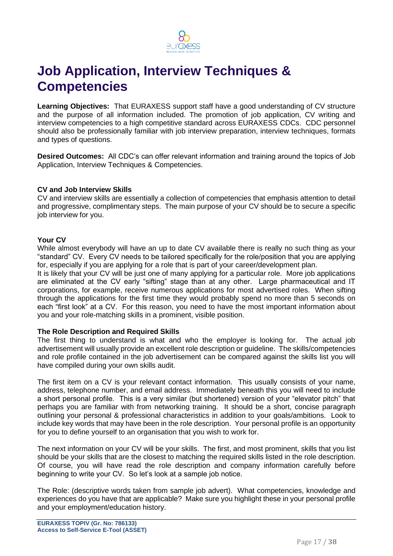

## **Job Application, Interview Techniques & Competencies**

**Learning Objectives:** That EURAXESS support staff have a good understanding of CV structure and the purpose of all information included. The promotion of job application, CV writing and interview competencies to a high competitive standard across EURAXESS CDCs. CDC personnel should also be professionally familiar with job interview preparation, interview techniques, formats and types of questions.

**Desired Outcomes:** All CDC's can offer relevant information and training around the topics of Job Application, Interview Techniques & Competencies.

#### **CV and Job Interview Skills**

CV and interview skills are essentially a collection of competencies that emphasis attention to detail and progressive, complimentary steps. The main purpose of your CV should be to secure a specific job interview for you.

#### **Your CV**

While almost everybody will have an up to date CV available there is really no such thing as your "standard" CV. Every CV needs to be tailored specifically for the role/position that you are applying for, especially if you are applying for a role that is part of your career/development plan.

It is likely that your CV will be just one of many applying for a particular role. More job applications are eliminated at the CV early "sifting" stage than at any other. Large pharmaceutical and IT corporations, for example, receive numerous applications for most advertised roles. When sifting through the applications for the first time they would probably spend no more than 5 seconds on each "first look" at a CV. For this reason, you need to have the most important information about you and your role-matching skills in a prominent, visible position.

#### **The Role Description and Required Skills**

The first thing to understand is what and who the employer is looking for. The actual job advertisement will usually provide an excellent role description or guideline. The skills/competencies and role profile contained in the job advertisement can be compared against the skills list you will have compiled during your own skills audit.

The first item on a CV is your relevant contact information. This usually consists of your name, address, telephone number, and email address. Immediately beneath this you will need to include a short personal profile. This is a very similar (but shortened) version of your "elevator pitch" that perhaps you are familiar with from networking training. It should be a short, concise paragraph outlining your personal & professional characteristics in addition to your goals/ambitions. Look to include key words that may have been in the role description. Your personal profile is an opportunity for you to define yourself to an organisation that you wish to work for.

The next information on your CV will be your skills. The first, and most prominent, skills that you list should be your skills that are the closest to matching the required skills listed in the role description. Of course, you will have read the role description and company information carefully before beginning to write your CV. So let's look at a sample job notice.

The Role: (descriptive words taken from sample job advert). What competencies, knowledge and experiences do you have that are applicable? Make sure you highlight these in your personal profile and your employment/education history.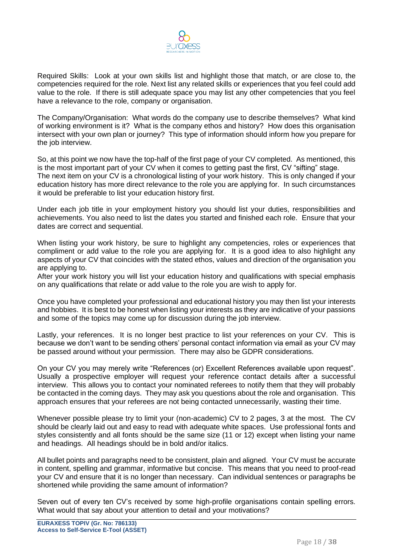

Required Skills: Look at your own skills list and highlight those that match, or are close to, the competencies required for the role. Next list any related skills or experiences that you feel could add value to the role. If there is still adequate space you may list any other competencies that you feel have a relevance to the role, company or organisation.

The Company/Organisation: What words do the company use to describe themselves? What kind of working environment is it? What is the company ethos and history? How does this organisation intersect with your own plan or journey? This type of information should inform how you prepare for the job interview.

So, at this point we now have the top-half of the first page of your CV completed. As mentioned, this is the most important part of your CV when it comes to getting past the first, CV "sifting" stage. The next item on your CV is a chronological listing of your work history. This is only changed if your education history has more direct relevance to the role you are applying for. In such circumstances it would be preferable to list your education history first.

Under each job title in your employment history you should list your duties, responsibilities and achievements. You also need to list the dates you started and finished each role. Ensure that your dates are correct and sequential.

When listing your work history, be sure to highlight any competencies, roles or experiences that compliment or add value to the role you are applying for. It is a good idea to also highlight any aspects of your CV that coincides with the stated ethos, values and direction of the organisation you are applying to.

After your work history you will list your education history and qualifications with special emphasis on any qualifications that relate or add value to the role you are wish to apply for.

Once you have completed your professional and educational history you may then list your interests and hobbies. It is best to be honest when listing your interests as they are indicative of your passions and some of the topics may come up for discussion during the job interview.

Lastly, your references. It is no longer best practice to list your references on your CV. This is because we don't want to be sending others' personal contact information via email as your CV may be passed around without your permission. There may also be GDPR considerations.

On your CV you may merely write "References (or) Excellent References available upon request". Usually a prospective employer will request your reference contact details after a successful interview. This allows you to contact your nominated referees to notify them that they will probably be contacted in the coming days. They may ask you questions about the role and organisation. This approach ensures that your referees are not being contacted unnecessarily, wasting their time.

Whenever possible please try to limit your (non-academic) CV to 2 pages, 3 at the most. The CV should be clearly laid out and easy to read with adequate white spaces. Use professional fonts and styles consistently and all fonts should be the same size (11 or 12) except when listing your name and headings. All headings should be in bold and/or italics.

All bullet points and paragraphs need to be consistent, plain and aligned. Your CV must be accurate in content, spelling and grammar, informative but concise. This means that you need to proof-read your CV and ensure that it is no longer than necessary. Can individual sentences or paragraphs be shortened while providing the same amount of information?

Seven out of every ten CV's received by some high-profile organisations contain spelling errors. What would that say about your attention to detail and your motivations?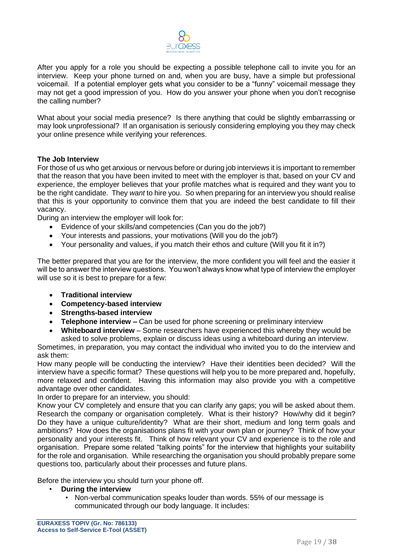

After you apply for a role you should be expecting a possible telephone call to invite you for an interview. Keep your phone turned on and, when you are busy, have a simple but professional voicemail. If a potential employer gets what you consider to be a "funny" voicemail message they may not get a good impression of you. How do you answer your phone when you don't recognise the calling number?

What about your social media presence? Is there anything that could be slightly embarrassing or may look unprofessional? If an organisation is seriously considering employing you they may check your online presence while verifying your references.

#### **The Job Interview**

For those of us who get anxious or nervous before or during job interviews it is important to remember that the reason that you have been invited to meet with the employer is that, based on your CV and experience, the employer believes that your profile matches what is required and they want you to be the right candidate. They *want* to hire you. So when preparing for an interview you should realise that this is your opportunity to convince them that you are indeed the best candidate to fill their vacancy.

During an interview the employer will look for:

- Evidence of your skills/and competencies (Can you do the job?)
- Your interests and passions, your motivations (Will you do the job?)
- Your personality and values, if you match their ethos and culture (Will you fit it in?)

The better prepared that you are for the interview, the more confident you will feel and the easier it will be to answer the interview questions. You won't always know what type of interview the employer will use so it is best to prepare for a few:

- **Traditional interview**
- **Competency-based interview**
- **Strengths-based interview**
- **Telephone interview –** Can be used for phone screening or preliminary interview
- **Whiteboard interview** Some researchers have experienced this whereby they would be asked to solve problems, explain or discuss ideas using a whiteboard during an interview.

Sometimes, in preparation, you may contact the individual who invited you to do the interview and ask them:

How many people will be conducting the interview? Have their identities been decided? Will the interview have a specific format? These questions will help you to be more prepared and, hopefully, more relaxed and confident. Having this information may also provide you with a competitive advantage over other candidates.

In order to prepare for an interview, you should:

Know your CV completely and ensure that you can clarify any gaps; you will be asked about them. Research the company or organisation completely. What is their history? How/why did it begin? Do they have a unique culture/identity? What are their short, medium and long term goals and ambitions? How does the organisations plans fit with your own plan or journey? Think of how your personality and your interests fit. Think of how relevant your CV and experience is to the role and organisation. Prepare some related "talking points" for the interview that highlights your suitability for the role and organisation. While researching the organisation you should probably prepare some questions too, particularly about their processes and future plans.

Before the interview you should turn your phone off.

- **During the interview**
	- Non-verbal communication speaks louder than words. 55% of our message is communicated through our body language. It includes: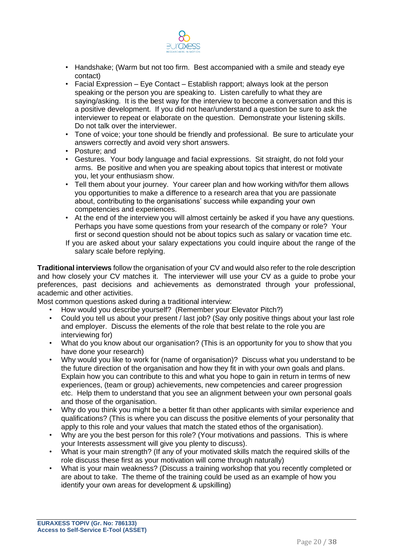

- Handshake; (Warm but not too firm. Best accompanied with a smile and steady eye contact)
- Facial Expression Eye Contact Establish rapport; always look at the person speaking or the person you are speaking to. Listen carefully to what they are saying/asking. It is the best way for the interview to become a conversation and this is a positive development. If you did not hear/understand a question be sure to ask the interviewer to repeat or elaborate on the question. Demonstrate your listening skills. Do not talk over the interviewer.
- Tone of voice; your tone should be friendly and professional. Be sure to articulate your answers correctly and avoid very short answers.
- Posture; and
- Gestures. Your body language and facial expressions. Sit straight, do not fold your arms. Be positive and when you are speaking about topics that interest or motivate you, let your enthusiasm show.
- Tell them about your journey. Your career plan and how working with/for them allows you opportunities to make a difference to a research area that you are passionate about, contributing to the organisations' success while expanding your own competencies and experiences.
- At the end of the interview you will almost certainly be asked if you have any questions. Perhaps you have some questions from your research of the company or role? Your first or second question should not be about topics such as salary or vacation time etc.
- If you are asked about your salary expectations you could inquire about the range of the salary scale before replying.

**Traditional interviews** follow the organisation of your CV and would also refer to the role description and how closely your CV matches it. The interviewer will use your CV as a guide to probe your preferences, past decisions and achievements as demonstrated through your professional, academic and other activities.

Most common questions asked during a traditional interview:

- How would you describe yourself? (Remember your Elevator Pitch?)
- Could you tell us about your present / last job? (Say only positive things about your last role and employer. Discuss the elements of the role that best relate to the role you are interviewing for)
- What do you know about our organisation? (This is an opportunity for you to show that you have done your research)
- Why would you like to work for (name of organisation)? Discuss what you understand to be the future direction of the organisation and how they fit in with your own goals and plans. Explain how you can contribute to this and what you hope to gain in return in terms of new experiences, (team or group) achievements, new competencies and career progression etc. Help them to understand that you see an alignment between your own personal goals and those of the organisation.
- Why do you think you might be a better fit than other applicants with similar experience and qualifications? (This is where you can discuss the positive elements of your personality that apply to this role and your values that match the stated ethos of the organisation).
- Why are you the best person for this role? (Your motivations and passions. This is where your Interests assessment will give you plenty to discuss).
- What is your main strength? (If any of your motivated skills match the required skills of the role discuss these first as your motivation will come through naturally)
- What is your main weakness? (Discuss a training workshop that you recently completed or are about to take. The theme of the training could be used as an example of how you identify your own areas for development & upskilling)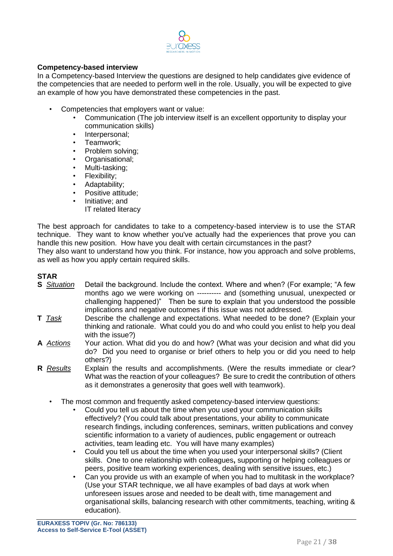

#### **Competency-based interview**

In a Competency-based Interview the questions are designed to help candidates give evidence of the competencies that are needed to perform well in the role. Usually, you will be expected to give an example of how you have demonstrated these competencies in the past.

- Competencies that employers want or value:
	- Communication (The job interview itself is an excellent opportunity to display your communication skills)
	- Interpersonal;
	- Teamwork;
	- Problem solving;
	- Organisational;
	- Multi-tasking;
	- Flexibility;
	- Adaptability;
	- Positive attitude;
	- Initiative; and
		- IT related literacy

The best approach for candidates to take to a competency-based interview is to use the STAR technique. They want to know whether you've actually had the experiences that prove you can handle this new position. How have you dealt with certain circumstances in the past?

They also want to understand how you think. For instance, how you approach and solve problems, as well as how you apply certain required skills.

#### **STAR**

- **S** *Situation* Detail the background. Include the context. Where and when? (For example; "A few months ago we were working on ---------- and (something unusual, unexpected or challenging happened)" Then be sure to explain that you understood the possible implications and negative outcomes if this issue was not addressed.
- **T** *Task* Describe the challenge and expectations. What needed to be done? (Explain your thinking and rationale. What could you do and who could you enlist to help you deal with the issue?)
- **A** *Actions* Your action. What did you do and how? (What was your decision and what did you do? Did you need to organise or brief others to help you or did you need to help others?)
- **R** *Results* Explain the results and accomplishments. (Were the results immediate or clear? What was the reaction of your colleagues? Be sure to credit the contribution of others as it demonstrates a generosity that goes well with teamwork).
	- The most common and frequently asked competency-based interview questions:
		- Could you tell us about the time when you used your communication skills effectively? (You could talk about presentations, your ability to communicate research findings, including conferences, seminars, written publications and convey scientific information to a variety of audiences, public engagement or outreach activities, team leading etc. You will have many examples)
		- Could you tell us about the time when you used your interpersonal skills? (Client skills. One to one relationship with colleagues**,** supporting or helping colleagues or peers, positive team working experiences, dealing with sensitive issues, etc.)
		- Can you provide us with an example of when you had to multitask in the workplace? (Use your STAR technique, we all have examples of bad days at work when unforeseen issues arose and needed to be dealt with, time management and organisational skills, balancing research with other commitments, teaching, writing & education).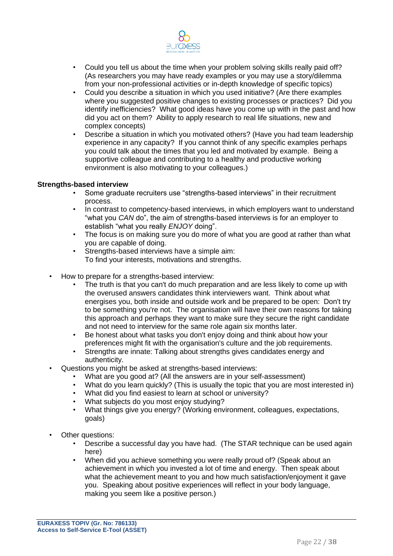

- Could you tell us about the time when your problem solving skills really paid off? (As researchers you may have ready examples or you may use a story/dilemma from your non-professional activities or in-depth knowledge of specific topics)
- Could you describe a situation in which you used initiative? (Are there examples where you suggested positive changes to existing processes or practices? Did you identify inefficiencies? What good ideas have you come up with in the past and how did you act on them? Ability to apply research to real life situations, new and complex concepts)
- Describe a situation in which you motivated others? (Have you had team leadership experience in any capacity? If you cannot think of any specific examples perhaps you could talk about the times that you led and motivated by example. Being a supportive colleague and contributing to a healthy and productive working environment is also motivating to your colleagues.)

#### **Strengths-based interview**

- Some graduate recruiters use "strengths-based interviews" in their recruitment process.
- In contrast to competency-based interviews, in which employers want to understand "what you *CAN* do", the aim of strengths-based interviews is for an employer to establish "what you really *ENJOY* doing".
- The focus is on making sure you do more of what you are good at rather than what you are capable of doing.
- Strengths-based interviews have a simple aim: To find your interests, motivations and strengths.
- How to prepare for a strengths-based interview:
	- The truth is that you can't do much preparation and are less likely to come up with the overused answers candidates think interviewers want. Think about what energises you, both inside and outside work and be prepared to be open: Don't try to be something you're not. The organisation will have their own reasons for taking this approach and perhaps they want to make sure they secure the right candidate and not need to interview for the same role again six months later.
	- Be honest about what tasks you don't enjoy doing and think about how your preferences might fit with the organisation's culture and the job requirements.
	- Strengths are innate: Talking about strengths gives candidates energy and authenticity.
- Questions you might be asked at strengths-based interviews:
	- What are you good at? (All the answers are in your self-assessment)
	- What do you learn quickly? (This is usually the topic that you are most interested in)
	- What did you find easiest to learn at school or university?
	- What subjects do you most enjoy studying?
	- What things give you energy? (Working environment, colleagues, expectations, goals)
- Other questions:
	- Describe a successful day you have had. (The STAR technique can be used again here)
	- When did you achieve something you were really proud of? (Speak about an achievement in which you invested a lot of time and energy. Then speak about what the achievement meant to you and how much satisfaction/enjoyment it gave you. Speaking about positive experiences will reflect in your body language, making you seem like a positive person.)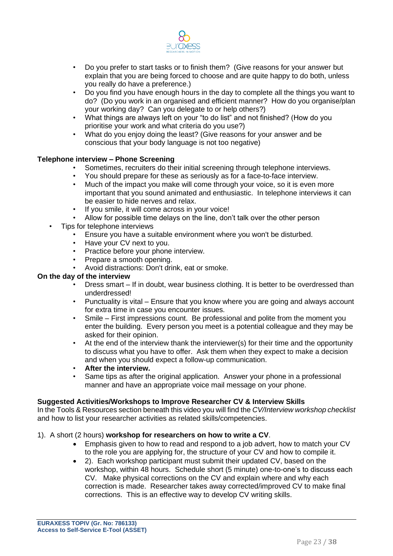

- Do you prefer to start tasks or to finish them? (Give reasons for your answer but explain that you are being forced to choose and are quite happy to do both, unless you really do have a preference.)
- Do you find you have enough hours in the day to complete all the things you want to do? (Do you work in an organised and efficient manner? How do you organise/plan your working day? Can you delegate to or help others?)
- What things are always left on your "to do list" and not finished? (How do you prioritise your work and what criteria do you use?)
- What do you enjoy doing the least? (Give reasons for your answer and be conscious that your body language is not too negative)

#### **Telephone interview – Phone Screening**

- Sometimes, recruiters do their initial screening through telephone interviews.
- You should prepare for these as seriously as for a face-to-face interview.
- Much of the impact you make will come through your voice, so it is even more important that you sound animated and enthusiastic. In telephone interviews it can be easier to hide nerves and relax.
- If you smile, it will come across in your voice!
- Allow for possible time delays on the line, don't talk over the other person
- Tips for telephone interviews
	- Ensure you have a suitable environment where you won't be disturbed.
	- Have your CV next to you.
	- Practice before your phone interview.
	- Prepare a smooth opening.
	- Avoid distractions: Don't drink, eat or smoke.

#### **On the day of the interview**

- Dress smart If in doubt, wear business clothing. It is better to be overdressed than underdressed!
- Punctuality is vital Ensure that you know where you are going and always account for extra time in case you encounter issues.
- Smile First impressions count. Be professional and polite from the moment you enter the building. Every person you meet is a potential colleague and they may be asked for their opinion.
- At the end of the interview thank the interviewer(s) for their time and the opportunity to discuss what you have to offer. Ask them when they expect to make a decision and when you should expect a follow-up communication.
- **After the interview.**
- Same tips as after the original application. Answer your phone in a professional manner and have an appropriate voice mail message on your phone.

#### **Suggested Activities/Workshops to Improve Researcher CV & Interview Skills**

In the Tools & Resources section beneath this video you will find the *CV/Interview workshop checklist*  and how to list your researcher activities as related skills/competencies.

- 1). A short (2 hours) **workshop for researchers on how to write a CV**.
	- Emphasis given to how to read and respond to a job advert, how to match your CV to the role you are applying for, the structure of your CV and how to compile it.
	- 2). Each workshop participant must submit their updated CV, based on the workshop, within 48 hours. Schedule short (5 minute) one-to-one's to discuss each CV. Make physical corrections on the CV and explain where and why each correction is made. Researcher takes away corrected/improved CV to make final corrections. This is an effective way to develop CV writing skills.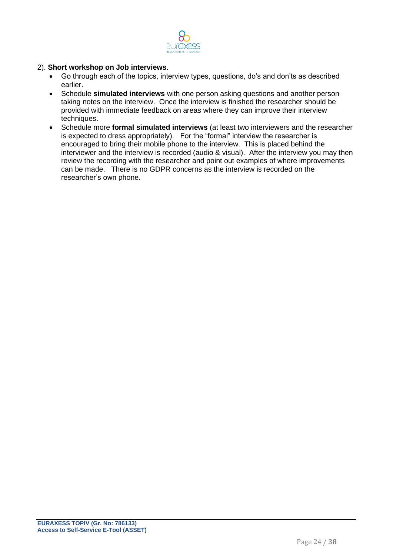

#### 2). **Short workshop on Job interviews**.

- Go through each of the topics, interview types, questions, do's and don'ts as described earlier.
- Schedule **simulated interviews** with one person asking questions and another person taking notes on the interview. Once the interview is finished the researcher should be provided with immediate feedback on areas where they can improve their interview techniques.
- Schedule more **formal simulated interviews** (at least two interviewers and the researcher is expected to dress appropriately). For the "formal" interview the researcher is encouraged to bring their mobile phone to the interview. This is placed behind the interviewer and the interview is recorded (audio & visual). After the interview you may then review the recording with the researcher and point out examples of where improvements can be made. There is no GDPR concerns as the interview is recorded on the researcher's own phone.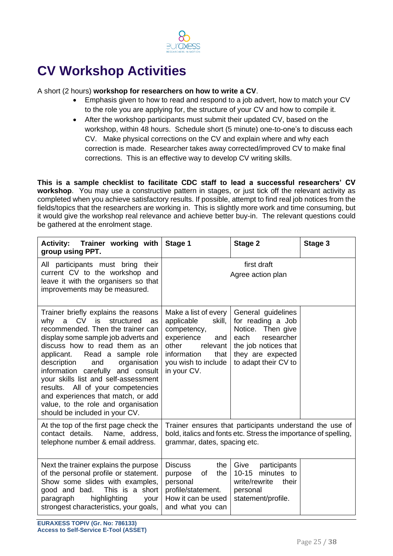

### **CV Workshop Activities**

#### A short (2 hours) **workshop for researchers on how to write a CV**.

- Emphasis given to how to read and respond to a job advert, how to match your CV to the role you are applying for, the structure of your CV and how to compile it.
- After the workshop participants must submit their updated CV, based on the workshop, within 48 hours. Schedule short (5 minute) one-to-one's to discuss each CV. Make physical corrections on the CV and explain where and why each correction is made. Researcher takes away corrected/improved CV to make final corrections. This is an effective way to develop CV writing skills.

**This is a sample checklist to facilitate CDC staff to lead a successful researchers' CV**  workshop. You may use a constructive pattern in stages, or just tick off the relevant activity as completed when you achieve satisfactory results. If possible, attempt to find real job notices from the fields/topics that the researchers are working in. This is slightly more work and time consuming, but it would give the workshop real relevance and achieve better buy-in. The relevant questions could be gathered at the enrolment stage.

| Activity: Trainer working with<br>group using PPT.                                                                                                                                                                                                                                                                                                                                                                                                                                                               | Stage 1                                                                                                                                                            | Stage 2                                                                                                                                                 | Stage 3 |
|------------------------------------------------------------------------------------------------------------------------------------------------------------------------------------------------------------------------------------------------------------------------------------------------------------------------------------------------------------------------------------------------------------------------------------------------------------------------------------------------------------------|--------------------------------------------------------------------------------------------------------------------------------------------------------------------|---------------------------------------------------------------------------------------------------------------------------------------------------------|---------|
| All participants must bring their<br>current CV to the workshop and<br>leave it with the organisers so that<br>improvements may be measured.                                                                                                                                                                                                                                                                                                                                                                     | first draft<br>Agree action plan                                                                                                                                   |                                                                                                                                                         |         |
| Trainer briefly explains the reasons<br><b>CV</b><br>is<br>structured<br>why<br>a<br>as<br>recommended. Then the trainer can<br>display some sample job adverts and<br>discuss how to read them as an<br>Read a sample role<br>applicant.<br>description<br>organisation<br>and<br>information carefully and consult<br>your skills list and self-assessment<br>results. All of your competencies<br>and experiences that match, or add<br>value, to the role and organisation<br>should be included in your CV. | Make a list of every<br>applicable<br>skill,<br>competency,<br>experience<br>and<br>other<br>relevant<br>information<br>that<br>you wish to include<br>in your CV. | General guidelines<br>for reading a Job<br>Notice. Then give<br>researcher<br>each<br>the job notices that<br>they are expected<br>to adapt their CV to |         |
| At the top of the first page check the<br>contact details.<br>Name, address,<br>telephone number & email address.                                                                                                                                                                                                                                                                                                                                                                                                | Trainer ensures that participants understand the use of<br>bold, italics and fonts etc. Stress the importance of spelling,<br>grammar, dates, spacing etc.         |                                                                                                                                                         |         |
| Next the trainer explains the purpose<br>of the personal profile or statement.<br>Show some slides with examples,<br>good and bad.<br>This is a short<br>highlighting<br>paragraph<br>your<br>strongest characteristics, your goals,                                                                                                                                                                                                                                                                             | the<br><b>Discuss</b><br>the<br>purpose<br>of<br>personal<br>profile/statement.<br>How it can be used<br>and what you can                                          | Give<br>participants<br>$10 - 15$<br>minutes to<br>write/rewrite<br>their<br>personal<br>statement/profile.                                             |         |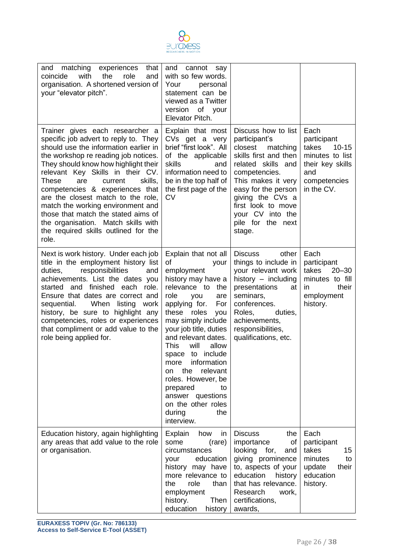

| matching<br>experiences<br>that<br>and<br>with<br>the<br>role<br>coincide<br>and<br>organisation. A shortened version of<br>your "elevator pitch".                                                                                                                                                                                                                                                                                                                                                                       | cannot<br>and<br>say<br>with so few words.<br>Your<br>personal<br>statement can be<br>viewed as a Twitter<br>version<br>of your<br>Elevator Pitch.                                                                                                                                                                                                                                                                                                            |                                                                                                                                                                                                                                                                       |                                                                                                                       |
|--------------------------------------------------------------------------------------------------------------------------------------------------------------------------------------------------------------------------------------------------------------------------------------------------------------------------------------------------------------------------------------------------------------------------------------------------------------------------------------------------------------------------|---------------------------------------------------------------------------------------------------------------------------------------------------------------------------------------------------------------------------------------------------------------------------------------------------------------------------------------------------------------------------------------------------------------------------------------------------------------|-----------------------------------------------------------------------------------------------------------------------------------------------------------------------------------------------------------------------------------------------------------------------|-----------------------------------------------------------------------------------------------------------------------|
| Trainer gives each researcher a<br>specific job advert to reply to. They<br>should use the information earlier in<br>the workshop re reading job notices.<br>They should know how highlight their<br>relevant Key Skills in their CV.<br>These<br>skills.<br>are<br>current<br>competencies & experiences that<br>are the closest match to the role,<br>match the working environment and<br>those that match the stated aims of<br>the organisation. Match skills with<br>the required skills outlined for the<br>role. | Explain that most<br>CVs get a very<br>brief "first look". All<br>of the applicable<br>skills<br>and<br>information need to<br>be in the top half of<br>the first page of the<br>CV                                                                                                                                                                                                                                                                           | Discuss how to list<br>participant's<br>closest<br>matching<br>skills first and then<br>related skills and<br>competencies.<br>This makes it very<br>easy for the person<br>giving the CVs a<br>first look to move<br>your CV into the<br>pile for the next<br>stage. | Each<br>participant<br>takes<br>$10 - 15$<br>minutes to list<br>their key skills<br>and<br>competencies<br>in the CV. |
| Next is work history. Under each job<br>title in the employment history list<br>responsibilities<br>duties,<br>and<br>achievements. List the dates you<br>started and finished each role.<br>Ensure that dates are correct and<br>When<br>sequential.<br>listing<br>work<br>history, be sure to highlight any<br>competencies, roles or experiences<br>that compliment or add value to the<br>role being applied for.                                                                                                    | Explain that not all<br>of<br>your<br>employment<br>history may have a<br>relevance to<br>the<br>role<br>you<br>are<br>applying for.<br>For<br>these roles<br>you<br>may simply include<br>your job title, duties<br>and relevant dates.<br><b>This</b><br>will<br>allow<br>space to include<br>information<br>more<br>the<br>relevant<br>on<br>roles. However, be<br>prepared<br>to<br>answer questions<br>on the other roles<br>the<br>during<br>interview. | <b>Discuss</b><br>other<br>things to include in<br>your relevant work<br>history $-$ including<br>presentations<br>at<br>seminars,<br>conferences.<br>Roles,<br>duties,<br>achievements,<br>responsibilities,<br>qualifications, etc.                                 | Each<br>participant<br>takes<br>$20 - 30$<br>minutes to fill<br>their<br>in.<br>employment<br>history.                |
| Education history, again highlighting<br>any areas that add value to the role<br>or organisation.                                                                                                                                                                                                                                                                                                                                                                                                                        | Explain<br>how<br>in<br>some<br>(rare)<br>circumstances<br>education<br>your<br>history may have<br>more relevance to<br>role<br>the<br>than<br>employment<br>history.<br>Then<br>education<br>history                                                                                                                                                                                                                                                        | <b>Discuss</b><br>the<br>importance<br>of<br>looking<br>for,<br>and<br>giving prominence<br>to, aspects of your<br>education<br>history<br>that has relevance.<br>Research<br>work,<br>certifications,<br>awards,                                                     | Each<br>participant<br>15<br>takes<br>minutes<br>to<br>update<br>their<br>education<br>history.                       |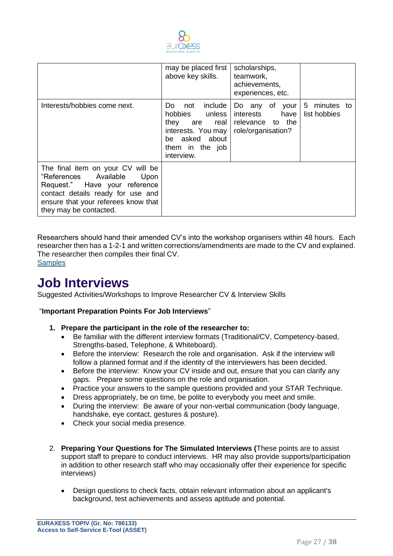

|                                                                                                                                                                                                           | may be placed first<br>above key skills.                                                                                   | scholarships,<br>teamwork,<br>achievements,<br>experiences, etc.           |                              |
|-----------------------------------------------------------------------------------------------------------------------------------------------------------------------------------------------------------|----------------------------------------------------------------------------------------------------------------------------|----------------------------------------------------------------------------|------------------------------|
| Interests/hobbies come next.                                                                                                                                                                              | Do not include<br>hobbies unless<br>they are real<br>interests. You may<br>be asked about<br>them in the job<br>interview. | Do any of your<br>interests have<br>relevance to the<br>role/organisation? | 5 minutes to<br>list hobbies |
| The final item on your CV will be<br>"References Available<br>Upon<br>Request." Have your reference<br>contact details ready for use and<br>ensure that your referees know that<br>they may be contacted. |                                                                                                                            |                                                                            |                              |

Researchers should hand their amended CV's into the workshop organisers within 48 hours. Each researcher then has a 1-2-1 and written corrections/amendments are made to the CV and explained. The researcher then compiles their final CV.

**[Samples](https://drive.google.com/drive/folders/1-wWh6bHGAyLWuYfOmEtWMQG7ekZ1qivG?usp=sharing)** 

### **Job Interviews**

Suggested Activities/Workshops to Improve Researcher CV & Interview Skills

#### "**Important Preparation Points For Job Interviews**"

- **1. Prepare the participant in the role of the researcher to:**
	- Be familiar with the different interview formats (Traditional/CV, Competency-based, Strengths-based, Telephone, & Whiteboard).
	- Before the interview: Research the role and organisation. Ask if the interview will follow a planned format and if the identity of the interviewers has been decided.
	- Before the interview: Know your CV inside and out, ensure that you can clarify any gaps. Prepare some questions on the role and organisation.
	- Practice your answers to the sample questions provided and your STAR Technique.
	- Dress appropriately, be on time, be polite to everybody you meet and smile.
	- During the interview: Be aware of your non-verbal communication (body language, handshake, eye contact, gestures & posture).
	- Check your social media presence.
- 2. **Preparing Your Questions for The Simulated Interviews (**These points are to assist support staff to prepare to conduct interviews. HR may also provide supports/participation in addition to other research staff who may occasionally offer their experience for specific interviews)
	- Design questions to check facts, obtain relevant information about an applicant's background, test achievements and assess aptitude and potential.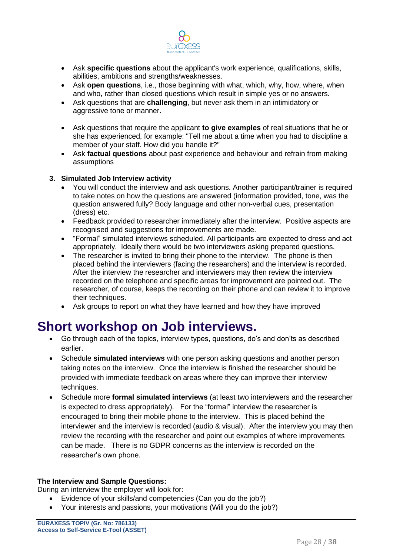

- Ask **specific questions** about the applicant's work experience, qualifications, skills, abilities, ambitions and strengths/weaknesses.
- Ask **open questions**, i.e., those beginning with what, which, why, how, where, when and who, rather than closed questions which result in simple yes or no answers.
- Ask questions that are **challenging**, but never ask them in an intimidatory or aggressive tone or manner.
- Ask questions that require the applicant **to give examples** of real situations that he or she has experienced, for example: "Tell me about a time when you had to discipline a member of your staff. How did you handle it?"
- Ask **factual questions** about past experience and behaviour and refrain from making assumptions

#### **3. Simulated Job Interview activity**

- You will conduct the interview and ask questions. Another participant/trainer is required to take notes on how the questions are answered (information provided, tone, was the question answered fully? Body language and other non-verbal cues, presentation (dress) etc.
- Feedback provided to researcher immediately after the interview. Positive aspects are recognised and suggestions for improvements are made.
- "Formal" simulated interviews scheduled. All participants are expected to dress and act appropriately. Ideally there would be two interviewers asking prepared questions.
- The researcher is invited to bring their phone to the interview. The phone is then placed behind the interviewers (facing the researchers) and the interview is recorded. After the interview the researcher and interviewers may then review the interview recorded on the telephone and specific areas for improvement are pointed out. The researcher, of course, keeps the recording on their phone and can review it to improve their techniques.
- Ask groups to report on what they have learned and how they have improved

### **Short workshop on Job interviews.**

- Go through each of the topics, interview types, questions, do's and don'ts as described earlier.
- Schedule **simulated interviews** with one person asking questions and another person taking notes on the interview. Once the interview is finished the researcher should be provided with immediate feedback on areas where they can improve their interview techniques.
- Schedule more **formal simulated interviews** (at least two interviewers and the researcher is expected to dress appropriately). For the "formal" interview the researcher is encouraged to bring their mobile phone to the interview. This is placed behind the interviewer and the interview is recorded (audio & visual). After the interview you may then review the recording with the researcher and point out examples of where improvements can be made. There is no GDPR concerns as the interview is recorded on the researcher's own phone.

#### **The Interview and Sample Questions:**

During an interview the employer will look for:

- Evidence of your skills/and competencies (Can you do the job?)
- Your interests and passions, your motivations (Will you do the job?)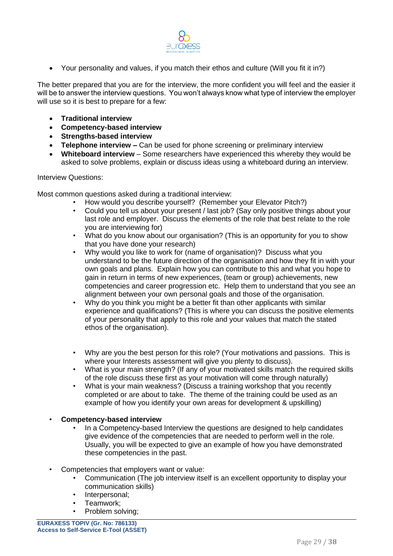

• Your personality and values, if you match their ethos and culture (Will you fit it in?)

The better prepared that you are for the interview, the more confident you will feel and the easier it will be to answer the interview questions. You won't always know what type of interview the employer will use so it is best to prepare for a few:

- **Traditional interview**
- **Competency-based interview**
- **Strengths-based interview**
- **Telephone interview –** Can be used for phone screening or preliminary interview
- **Whiteboard interview** Some researchers have experienced this whereby they would be asked to solve problems, explain or discuss ideas using a whiteboard during an interview.

#### Interview Questions:

Most common questions asked during a traditional interview:

- How would you describe yourself? (Remember your Elevator Pitch?)
- Could you tell us about your present / last job? (Say only positive things about your last role and employer. Discuss the elements of the role that best relate to the role you are interviewing for)
- What do you know about our organisation? (This is an opportunity for you to show that you have done your research)
- Why would you like to work for (name of organisation)? Discuss what you understand to be the future direction of the organisation and how they fit in with your own goals and plans. Explain how you can contribute to this and what you hope to gain in return in terms of new experiences, (team or group) achievements, new competencies and career progression etc. Help them to understand that you see an alignment between your own personal goals and those of the organisation.
- Why do you think you might be a better fit than other applicants with similar experience and qualifications? (This is where you can discuss the positive elements of your personality that apply to this role and your values that match the stated ethos of the organisation).
- Why are you the best person for this role? (Your motivations and passions. This is where your Interests assessment will give you plenty to discuss).
- What is your main strength? (If any of your motivated skills match the required skills of the role discuss these first as your motivation will come through naturally)
- What is your main weakness? (Discuss a training workshop that you recently completed or are about to take. The theme of the training could be used as an example of how you identify your own areas for development & upskilling)

#### • **Competency-based interview**

- In a Competency-based Interview the questions are designed to help candidates give evidence of the competencies that are needed to perform well in the role. Usually, you will be expected to give an example of how you have demonstrated these competencies in the past.
- Competencies that employers want or value:
	- Communication (The job interview itself is an excellent opportunity to display your communication skills)
	- Interpersonal;
	- Teamwork;
	- Problem solving: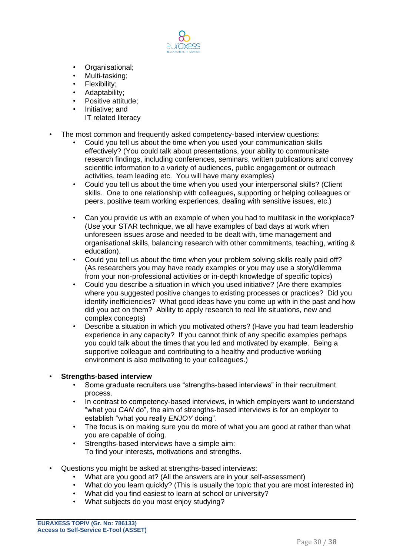

- Organisational;
- Multi-tasking:
- Flexibility;
- Adaptability;
- Positive attitude;
- Initiative; and
	- IT related literacy
- The most common and frequently asked competency-based interview questions:
	- Could you tell us about the time when you used your communication skills effectively? (You could talk about presentations, your ability to communicate research findings, including conferences, seminars, written publications and convey scientific information to a variety of audiences, public engagement or outreach activities, team leading etc. You will have many examples)
	- Could you tell us about the time when you used your interpersonal skills? (Client skills. One to one relationship with colleagues**,** supporting or helping colleagues or peers, positive team working experiences, dealing with sensitive issues, etc.)
	- Can you provide us with an example of when you had to multitask in the workplace? (Use your STAR technique, we all have examples of bad days at work when unforeseen issues arose and needed to be dealt with, time management and organisational skills, balancing research with other commitments, teaching, writing & education).
	- Could you tell us about the time when your problem solving skills really paid off? (As researchers you may have ready examples or you may use a story/dilemma from your non-professional activities or in-depth knowledge of specific topics)
	- Could you describe a situation in which you used initiative? (Are there examples where you suggested positive changes to existing processes or practices? Did you identify inefficiencies? What good ideas have you come up with in the past and how did you act on them? Ability to apply research to real life situations, new and complex concepts)
	- Describe a situation in which you motivated others? (Have you had team leadership experience in any capacity? If you cannot think of any specific examples perhaps you could talk about the times that you led and motivated by example. Being a supportive colleague and contributing to a healthy and productive working environment is also motivating to your colleagues.)

#### • **Strengths-based interview**

- Some graduate recruiters use "strengths-based interviews" in their recruitment process.
- In contrast to competency-based interviews, in which employers want to understand "what you *CAN* do", the aim of strengths-based interviews is for an employer to establish "what you really *ENJOY* doing".
- The focus is on making sure you do more of what you are good at rather than what you are capable of doing.
- Strengths-based interviews have a simple aim: To find your interests, motivations and strengths.
- Questions you might be asked at strengths-based interviews:
	- What are you good at? (All the answers are in your self-assessment)
	- What do you learn quickly? (This is usually the topic that you are most interested in)
	- What did you find easiest to learn at school or university?
	- What subjects do you most enjoy studying?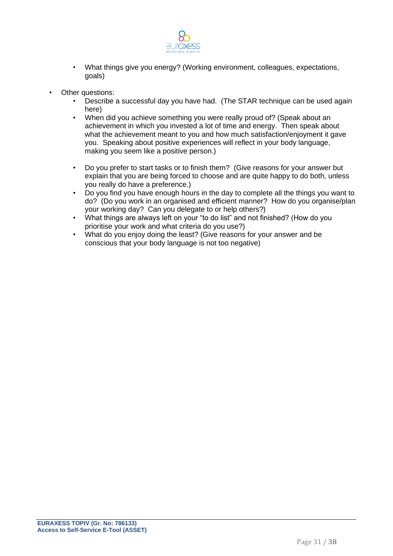

- What things give you energy? (Working environment, colleagues, expectations, goals)
- Other questions:
	- Describe a successful day you have had. (The STAR technique can be used again here)
	- When did you achieve something you were really proud of? (Speak about an achievement in which you invested a lot of time and energy. Then speak about what the achievement meant to you and how much satisfaction/enjoyment it gave you. Speaking about positive experiences will reflect in your body language, making you seem like a positive person.)
	- Do you prefer to start tasks or to finish them? (Give reasons for your answer but explain that you are being forced to choose and are quite happy to do both, unless you really do have a preference.)
	- Do you find you have enough hours in the day to complete all the things you want to do? (Do you work in an organised and efficient manner? How do you organise/plan your working day? Can you delegate to or help others?)
	- What things are always left on your "to do list" and not finished? (How do you prioritise your work and what criteria do you use?)
	- What do you enjoy doing the least? (Give reasons for your answer and be conscious that your body language is not too negative)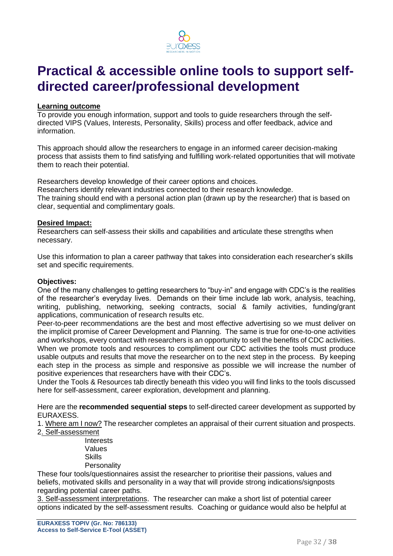

### **Practical & accessible online tools to support selfdirected career/professional development**

#### **Learning outcome**

To provide you enough information, support and tools to guide researchers through the selfdirected VIPS (Values, Interests, Personality, Skills) process and offer feedback, advice and information.

This approach should allow the researchers to engage in an informed career decision-making process that assists them to find satisfying and fulfilling work-related opportunities that will motivate them to reach their potential.

Researchers develop knowledge of their career options and choices.

Researchers identify relevant industries connected to their research knowledge. The training should end with a personal action plan (drawn up by the researcher) that is based on clear, sequential and complimentary goals.

#### **Desired Impact:**

Researchers can self-assess their skills and capabilities and articulate these strengths when necessary.

Use this information to plan a career pathway that takes into consideration each researcher's skills set and specific requirements.

#### **Objectives:**

One of the many challenges to getting researchers to "buy-in" and engage with CDC's is the realities of the researcher's everyday lives. Demands on their time include lab work, analysis, teaching, writing, publishing, networking, seeking contracts, social & family activities, funding/grant applications, communication of research results etc.

Peer-to-peer recommendations are the best and most effective advertising so we must deliver on the implicit promise of Career Development and Planning. The same is true for one-to-one activities and workshops, every contact with researchers is an opportunity to sell the benefits of CDC activities. When we promote tools and resources to compliment our CDC activities the tools must produce usable outputs and results that move the researcher on to the next step in the process. By keeping each step in the process as simple and responsive as possible we will increase the number of positive experiences that researchers have with their CDC's.

Under the Tools & Resources tab directly beneath this video you will find links to the tools discussed here for self-assessment, career exploration, development and planning.

Here are the **recommended sequential steps** to self-directed career development as supported by EURAXESS.

1. Where am I now? The researcher completes an appraisal of their current situation and prospects. 2. Self-assessment

> **Interests** Values Skills **Personality**

These four tools/questionnaires assist the researcher to prioritise their passions, values and beliefs, motivated skills and personality in a way that will provide strong indications/signposts regarding potential career paths.

3. Self-assessment interpretations. The researcher can make a short list of potential career options indicated by the self-assessment results. Coaching or guidance would also be helpful at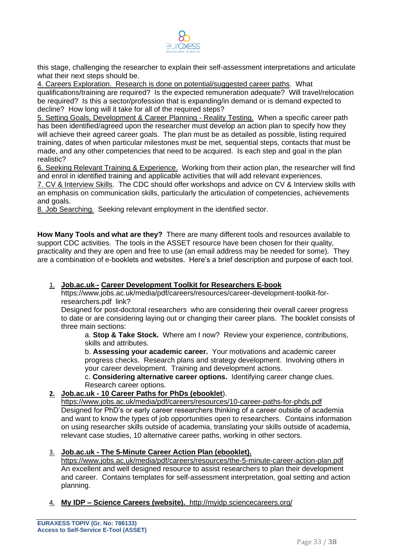

this stage, challenging the researcher to explain their self-assessment interpretations and articulate what their next steps should be.

4. Careers Exploration. Research is done on potential/suggested career paths. What

qualifications/training are required? Is the expected remuneration adequate? Will travel/relocation be required? Is this a sector/profession that is expanding/in demand or is demand expected to decline? How long will it take for all of the required steps?

5. Setting Goals, Development & Career Planning - Reality Testing. When a specific career path has been identified/agreed upon the researcher must develop an action plan to specify how they will achieve their agreed career goals. The plan must be as detailed as possible, listing required training, dates of when particular milestones must be met, sequential steps, contacts that must be made, and any other competencies that need to be acquired. Is each step and goal in the plan realistic?

6. Seeking Relevant Training & Experience. Working from their action plan, the researcher will find and enrol in identified training and applicable activities that will add relevant experiences.

7. CV & Interview Skills. The CDC should offer workshops and advice on CV & Interview skills with an emphasis on communication skills, particularly the articulation of competencies, achievements and goals.

8. Job Searching. Seeking relevant employment in the identified sector.

**How Many Tools and what are they?** There are many different tools and resources available to support CDC activities. The tools in the ASSET resource have been chosen for their quality, practicality and they are open and free to use (an email address may be needed for some). They are a combination of e-booklets and websites. Here's a brief description and purpose of each tool.

#### 1. Job.ac.uk - [Career Development Toolkit for Researchers E-book](https://www.jobs.ac.uk/media/pdf/careers/resources/career-development-toolkit-for-researchers.pdf)

https://www.jobs.ac.uk/media/pdf/careers/resources/career-development-toolkit-forresearchers.pdf link?

Designed for post-doctoral researchers who are considering their overall career progress to date or are considering laying out or changing their career plans. The booklet consists of three main sections:

a. **Stop & Take Stock.** Where am I now? Review your experience, contributions, skills and attributes.

b. **Assessing your academic career.** Your motivations and academic career progress checks. Research plans and strategy development. Involving others in your career development. Training and development actions.

c. **Considering alternative career options.** Identifying career change clues. Research career options.

#### **2. Job.ac.uk - 10 Career Paths for PhDs (ebooklet**).

https://www.jobs.ac.uk/media/pdf/careers/resources/10-career-paths-for-phds.pdf Designed for PhD's or early career researchers thinking of a career outside of academia and want to know the types of job opportunities open to researchers. Contains information on using researcher skills outside of academia, translating your skills outside of academia, relevant case studies, 10 alternative career paths, working in other sectors.

#### 3. **Job.ac.uk - The 5-Minute Career Action Plan (ebooklet).**

https://www.jobs.ac.uk/media/pdf/careers/resources/the-5-minute-career-action-plan.pdf An excellent and well designed resource to assist researchers to plan their development and career. Contains templates for self-assessment interpretation, goal setting and action planning.

4. **My IDP – Science Careers (website).** <http://myidp.sciencecareers.org/>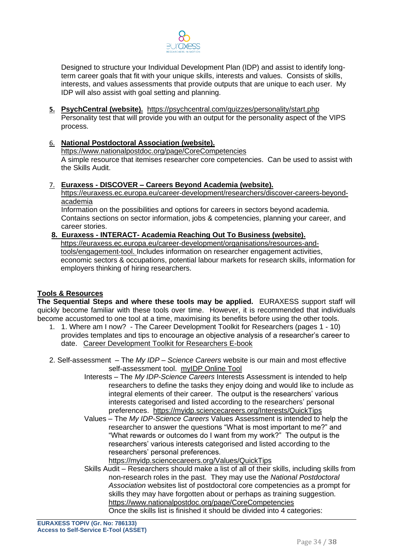

Designed to structure your Individual Development Plan (IDP) and assist to identify longterm career goals that fit with your unique skills, interests and values. Consists of skills, interests, and values assessments that provide outputs that are unique to each user. My IDP will also assist with goal setting and planning.

**5. PsychCentral (website).** <https://psychcentral.com/quizzes/personality/start.php> Personality test that will provide you with an output for the personality aspect of the VIPS process.

#### 6. **National Postdoctoral Association (website).**

<https://www.nationalpostdoc.org/page/CoreCompetencies> A simple resource that itemises researcher core competencies. Can be used to assist with the Skills Audit.

#### 7. **Euraxess - DISCOVER – Careers Beyond Academia (website).**

https://euraxess.ec.europa.eu/career-development/researchers/discover-careers-beyondacademia

Information on the possibilities and options for careers in sectors beyond academia. Contains sections on sector information, jobs & competencies, planning your career, and career stories.

#### **8. Euraxess - INTERACT- Academia Reaching Out To Business (website).**  [https://euraxess.ec.europa.eu/career-development/organisations/resources-and-](https://euraxess.ec.europa.eu/career-development/organisations/resources-and-tools/engagement-tool)

[tools/engagement-tool.](https://euraxess.ec.europa.eu/career-development/organisations/resources-and-tools/engagement-tool) Includes information on researcher engagement activities, economic sectors & occupations, potential labour markets for research skills, information for employers thinking of hiring researchers.

#### **Tools & Resources**

**The Sequential Steps and where these tools may be applied.** EURAXESS support staff will quickly become familiar with these tools over time. However, it is recommended that individuals become accustomed to one tool at a time, maximising its benefits before using the other tools.

- 1. 1. Where am I now? The Career Development Toolkit for Researchers (pages 1 10) provides templates and tips to encourage an objective analysis of a researcher's career to date. [Career Development Toolkit for Researchers E-book](https://www.jobs.ac.uk/media/pdf/careers/resources/career-development-toolkit-for-researchers.pdf)
- 2. Self-assessment The *My IDP – Science Careers* website is our main and most effective self-assessment tool. [myIDP Online Tool](http://myidp.sciencecareers.org/) 
	- Interests The *My IDP-Science Careers* Interests Assessment is intended to help researchers to define the tasks they enjoy doing and would like to include as integral elements of their career. The output is the researchers' various interests categorised and listed according to the researchers' personal preferences. <https://myidp.sciencecareers.org/Interests/QuickTips>
	- Values The *My IDP-Science Careers* Values Assessment is intended to help the researcher to answer the questions "What is most important to me?" and "What rewards or outcomes do I want from my work?" The output is the researchers' various interests categorised and listed according to the researchers' personal preferences.

<https://myidp.sciencecareers.org/Values/QuickTips>

Skills Audit – Researchers should make a list of all of their skills, including skills from non-research roles in the past. They may use the *National Postdoctoral Association* websites list of postdoctoral core competencies as a prompt for skills they may have forgotten about or perhaps as training suggestion. <https://www.nationalpostdoc.org/page/CoreCompetencies> Once the skills list is finished it should be divided into 4 categories: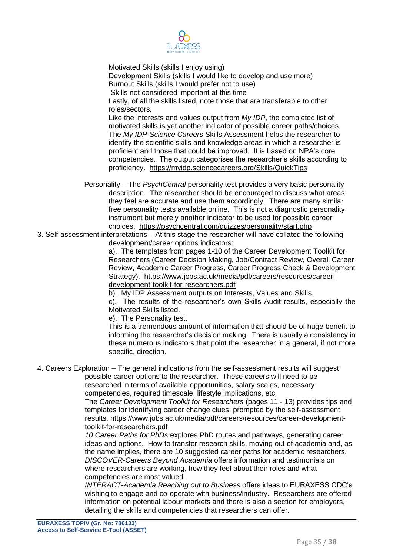

Motivated Skills (skills I enjoy using) Development Skills (skills I would like to develop and use more) Burnout Skills (skills I would prefer not to use) Skills not considered important at this time Lastly, of all the skills listed, note those that are transferable to other roles/sectors. Like the interests and values output from *My IDP*, the completed list of motivated skills is yet another indicator of possible career paths/choices. The *My IDP-Science Careers* Skills Assessment helps the researcher to identify the scientific skills and knowledge areas in which a researcher is proficient and those that could be improved. It is based on NPA's core competencies. The output categorises the researcher's skills according to proficiency. <https://myidp.sciencecareers.org/Skills/QuickTips>

- Personality The *PsychCentral* personality test provides a very basic personality description. The researcher should be encouraged to discuss what areas they feel are accurate and use them accordingly. There are many similar free personality tests available online. This is not a diagnostic personality instrument but merely another indicator to be used for possible career choices. <https://psychcentral.com/quizzes/personality/start.php>
- 3. Self-assessment interpretations At this stage the researcher will have collated the following development/career options indicators:

a). The templates from pages 1-10 of the Career Development Toolkit for Researchers (Career Decision Making, Job/Contract Review, Overall Career Review, Academic Career Progress, Career Progress Check & Development Strategy). [https://www.jobs.ac.uk/media/pdf/careers/resources/career](https://www.jobs.ac.uk/media/pdf/careers/resources/career-development-toolkit-for-researchers.pdf)[development-toolkit-for-researchers.pdf](https://www.jobs.ac.uk/media/pdf/careers/resources/career-development-toolkit-for-researchers.pdf)

b). My IDP Assessment outputs on Interests, Values and Skills.

c). The results of the researcher's own Skills Audit results, especially the Motivated Skills listed.

e). The Personality test.

This is a tremendous amount of information that should be of huge benefit to informing the researcher's decision making. There is usually a consistency in these numerous indicators that point the researcher in a general, if not more specific, direction.

4. Careers Exploration – The general indications from the self-assessment results will suggest possible career options to the researcher. These careers will need to be researched in terms of available opportunities, salary scales, necessary competencies, required timescale, lifestyle implications, etc.

The *Career Development Toolkit for Researchers* (pages 11 - 13) provides tips and templates for identifying career change clues, prompted by the self-assessment results. https://www.jobs.ac.uk/media/pdf/careers/resources/career-developmenttoolkit-for-researchers.pdf

*10 Career Paths for PhDs* explores PhD routes and pathways, generating career ideas and options. How to transfer research skills, moving out of academia and, as the name implies, there are 10 suggested career paths for academic researchers. *DISCOVER-Careers Beyond Academia* offers information and testimonials on where researchers are working, how they feel about their roles and what competencies are most valued.

*INTERACT-Academia Reaching out to Business* offers ideas to EURAXESS CDC's wishing to engage and co-operate with business/industry. Researchers are offered information on potential labour markets and there is also a section for employers, detailing the skills and competencies that researchers can offer.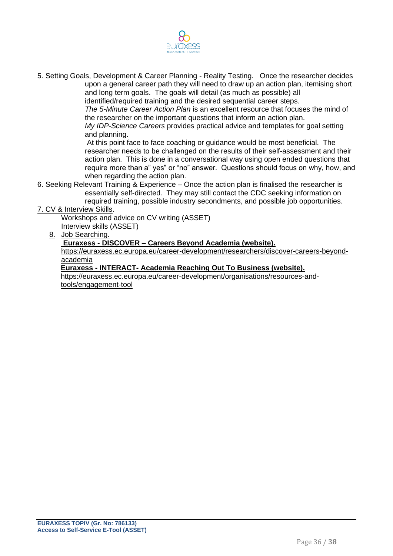

5. Setting Goals, Development & Career Planning - Reality Testing. Once the researcher decides upon a general career path they will need to draw up an action plan, itemising short and long term goals. The goals will detail (as much as possible) all

identified/required training and the desired sequential career steps.

*The 5-Minute Career Action Plan* is an excellent resource that focuses the mind of the researcher on the important questions that inform an action plan.

*My IDP-Science Careers* provides practical advice and templates for goal setting and planning.

At this point face to face coaching or guidance would be most beneficial. The researcher needs to be challenged on the results of their self-assessment and their action plan. This is done in a conversational way using open ended questions that require more than a" yes" or "no" answer. Questions should focus on why, how, and when regarding the action plan.

6. Seeking Relevant Training & Experience – Once the action plan is finalised the researcher is essentially self-directed. They may still contact the CDC seeking information on required training, possible industry secondments, and possible job opportunities.

7. CV & Interview Skills.

Workshops and advice on CV writing (ASSET) Interview skills (ASSET)

8. Job Searching.

#### **Euraxess - DISCOVER – Careers Beyond Academia (website).**

https://euraxess.ec.europa.eu/career-development/researchers/discover-careers-beyondacademia

**Euraxess - INTERACT- Academia Reaching Out To Business (website).** 

[https://euraxess.ec.europa.eu/career-development/organisations/resources-and](https://euraxess.ec.europa.eu/career-development/organisations/resources-and-tools/engagement-tool)[tools/engagement-tool](https://euraxess.ec.europa.eu/career-development/organisations/resources-and-tools/engagement-tool)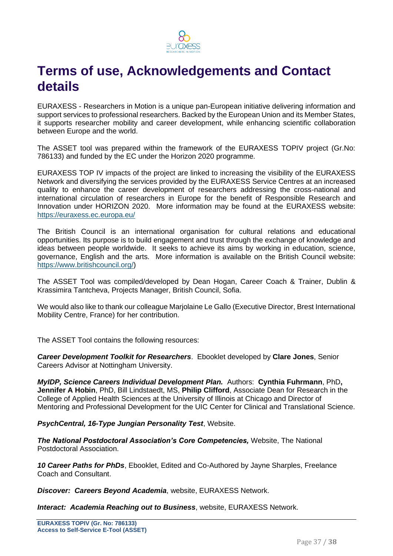

### **Terms of use, Acknowledgements and Contact details**

EURAXESS - Researchers in Motion is a unique pan-European initiative delivering information and support services to professional researchers. Backed by the European Union and its Member States, it supports researcher mobility and career development, while enhancing scientific collaboration between Europe and the world.

The ASSET tool was prepared within the framework of the EURAXESS TOPIV project (Gr.No: 786133) and funded by the EC under the Horizon 2020 programme.

EURAXESS TOP IV impacts of the project are linked to increasing the visibility of the EURAXESS Network and diversifying the services provided by the EURAXESS Service Centres at an increased quality to enhance the career development of researchers addressing the cross-national and international circulation of researchers in Europe for the benefit of Responsible Research and Innovation under HORIZON 2020. More information may be found at the EURAXESS website: <https://euraxess.ec.europa.eu/>

The British Council is an international organisation for cultural relations and educational opportunities. Its purpose is to build engagement and trust through the exchange of knowledge and ideas between people worldwide. It seeks to achieve its aims by working in education, science, governance, English and the arts. More information is available on the British Council website: [https://www.britishcouncil.org/\)](https://www.britishcouncil.org/)

The ASSET Tool was compiled/developed by Dean Hogan, Career Coach & Trainer, Dublin & Krassimira Tantcheva, Projects Manager, British Council, Sofia.

We would also like to thank our colleague Marjolaine Le Gallo (Executive Director, Brest International Mobility Centre, France) for her contribution.

The ASSET Tool contains the following resources:

*Career Development Toolkit for Researchers*. Ebooklet developed by **Clare Jones**, Senior Careers Advisor at Nottingham University.

*MyIDP, Science Careers Individual Development Plan.* Authors: **Cynthia Fuhrmann**, PhD**, Jennifer A Hobin**, PhD, Bill Lindstaedt, MS, **Philip Clifford**, Associate Dean for Research in the College of Applied Health Sciences at the University of Illinois at Chicago and Director of Mentoring and Professional Development for the UIC Center for Clinical and Translational Science.

*PsychCentral, 16-Type Jungian Personality Test*, Website.

*The National Postdoctoral Association's Core Competencies,* Website, The National Postdoctoral Association.

*10 Career Paths for PhDs*, Ebooklet, Edited and Co-Authored by Jayne Sharples, Freelance Coach and Consultant.

*Discover: Careers Beyond Academia*, website, EURAXESS Network.

*Interact: Academia Reaching out to Business*, website, EURAXESS Network.